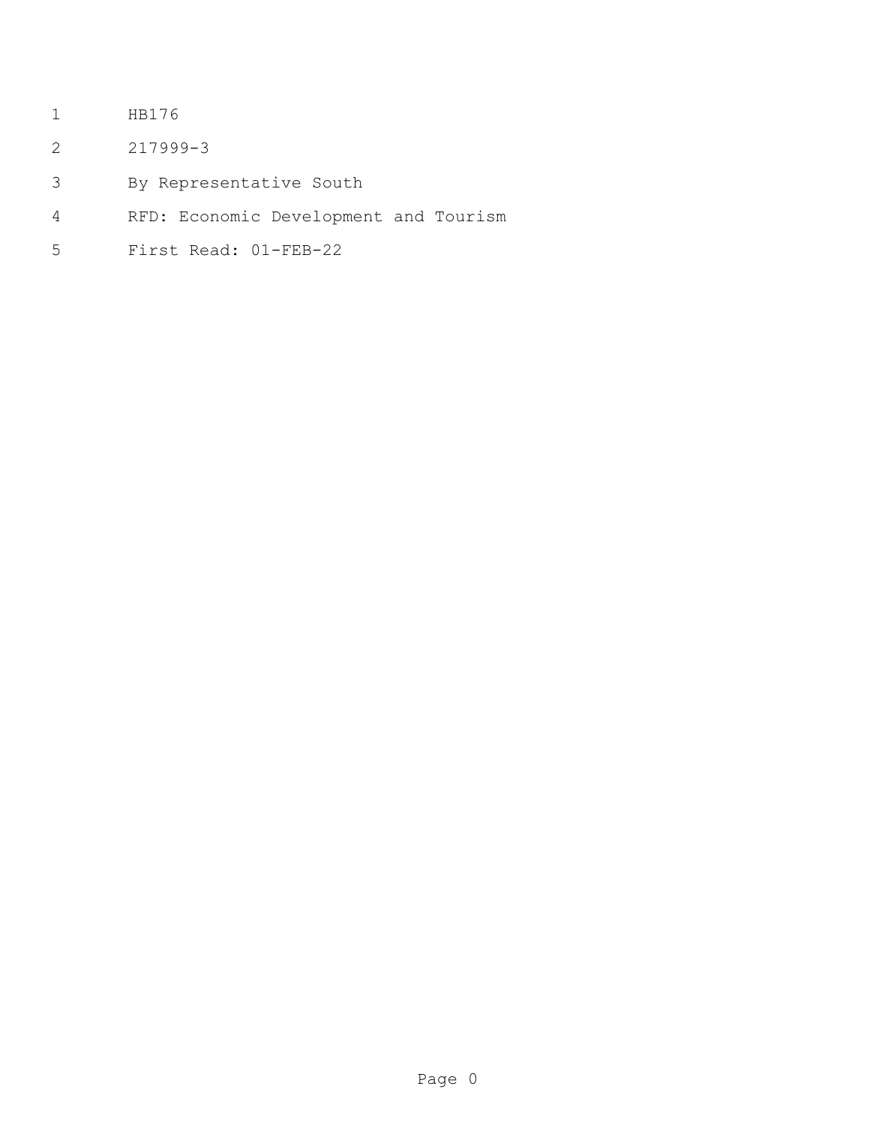- HB176
- 217999-3
- By Representative South
- RFD: Economic Development and Tourism
- First Read: 01-FEB-22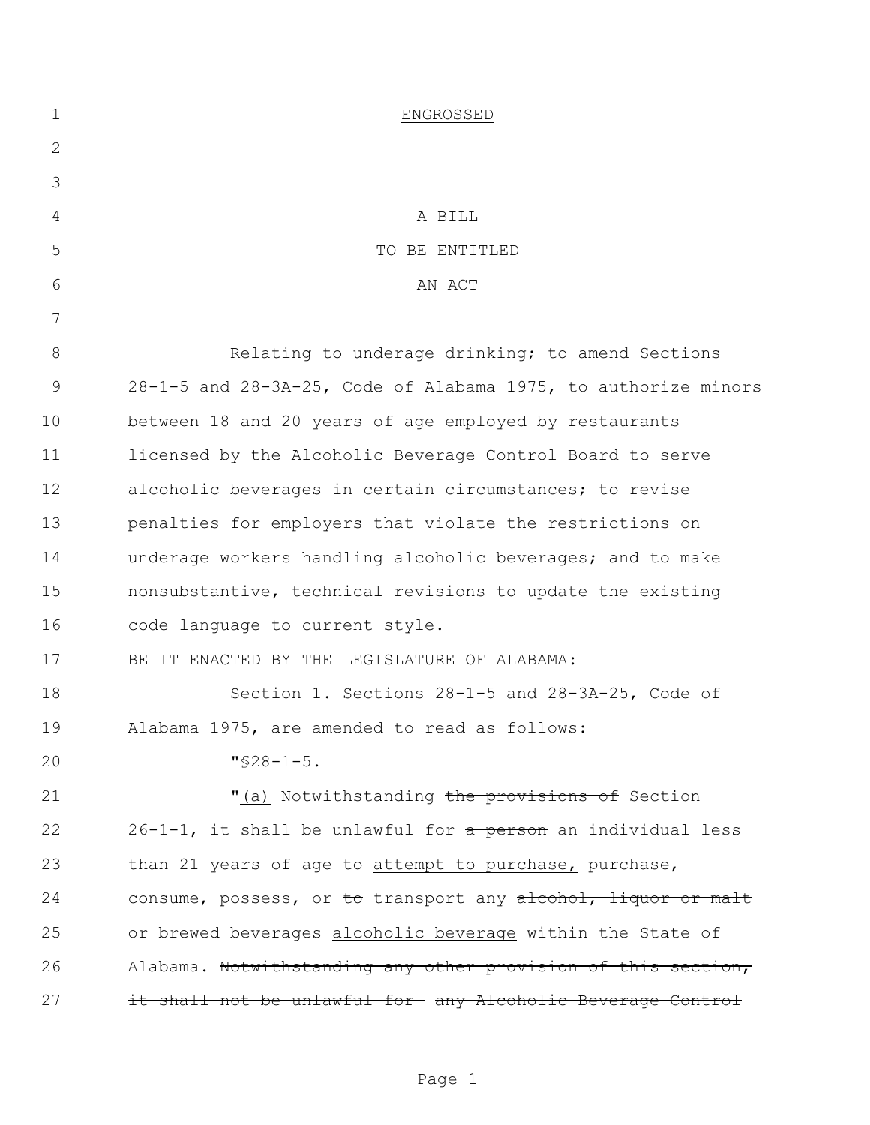| $\mathbf 1$  | ENGROSSED                                                                   |
|--------------|-----------------------------------------------------------------------------|
| $\mathbf{2}$ |                                                                             |
| 3            |                                                                             |
| 4            | A BILL                                                                      |
| 5            | TO BE ENTITLED                                                              |
| 6            | AN ACT                                                                      |
| 7            |                                                                             |
| $8\,$        | Relating to underage drinking; to amend Sections                            |
| 9            | 28-1-5 and 28-3A-25, Code of Alabama 1975, to authorize minors              |
| 10           | between 18 and 20 years of age employed by restaurants                      |
| 11           | licensed by the Alcoholic Beverage Control Board to serve                   |
| 12           | alcoholic beverages in certain circumstances; to revise                     |
| 13           | penalties for employers that violate the restrictions on                    |
| 14           | underage workers handling alcoholic beverages; and to make                  |
| 15           | nonsubstantive, technical revisions to update the existing                  |
| 16           | code language to current style.                                             |
| 17           | BE IT ENACTED BY THE LEGISLATURE OF ALABAMA:                                |
| 18           | Section 1. Sections 28-1-5 and 28-3A-25, Code of                            |
| 19           | Alabama 1975, are amended to read as follows:                               |
| 20           | $"$ \$28-1-5.                                                               |
| 21           | "(a) Notwithstanding the provisions of Section                              |
| 22           | $26-1-1$ , it shall be unlawful for $\frac{1}{2}$ person an individual less |
| 23           | than 21 years of age to attempt to purchase, purchase,                      |
| 24           | consume, possess, or to transport any alcohol, liquor or malt               |
| 25           | or brewed beverages alcoholic beverage within the State of                  |
| 26           | Alabama. Notwithstanding any other provision of this section,               |
| 27           | it shall not be unlawful for any Alcoholic Beverage Control                 |
|              |                                                                             |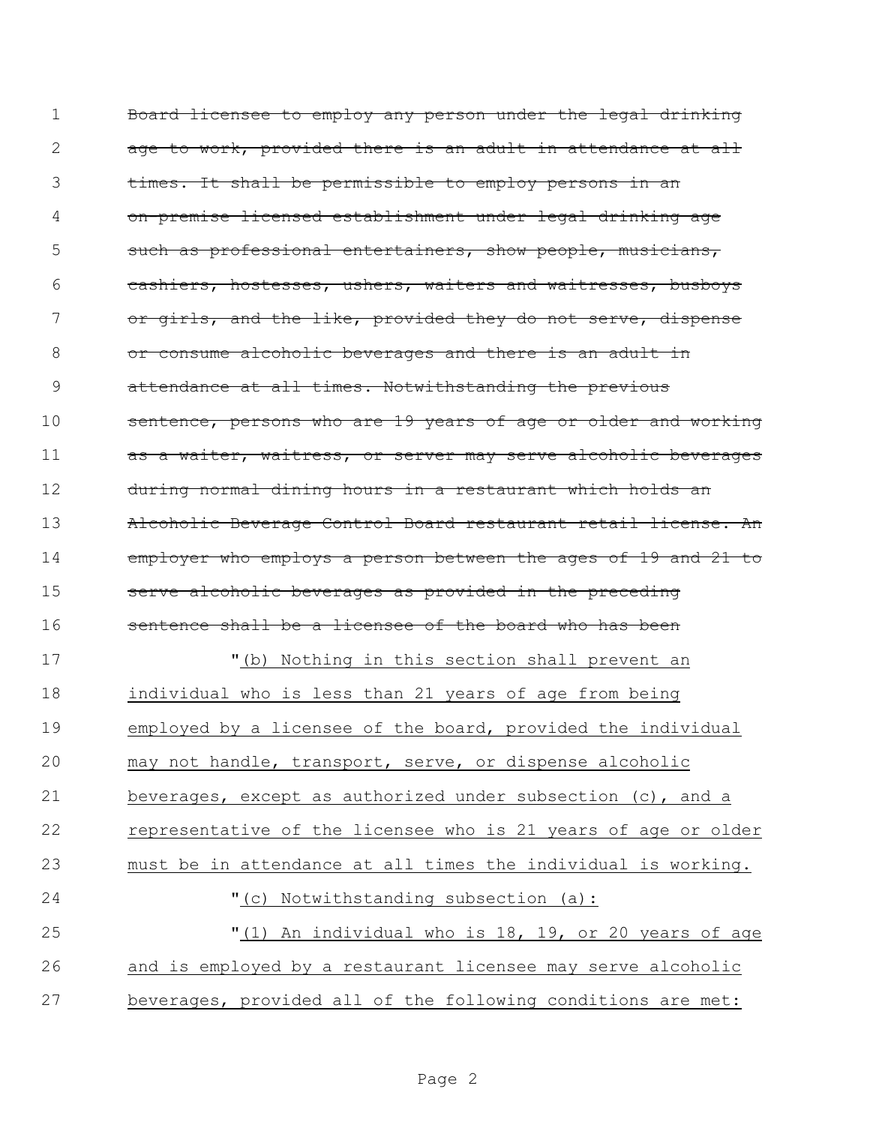| $\mathbf 1$ | Board licensee to employ any person under the legal drinking   |
|-------------|----------------------------------------------------------------|
| 2           | age to work, provided there is an adult in attendance at all   |
| 3           | times. It shall be permissible to employ persons in an         |
| 4           | on-premise licensed establishment under legal drinking age     |
| 5           | such as professional entertainers, show people, musicians,     |
| 6           | cashiers, hostesses, ushers, waiters and waitresses, busboys   |
| 7           | or girls, and the like, provided they do not serve, dispense   |
| 8           | or consume alcoholic beverages and there is an adult in        |
| 9           | attendance at all times. Notwithstanding the previous          |
| 10          | sentence, persons who are 19 years of age or older and working |
| 11          | as a waiter, waitress, or server may serve alcoholic beverages |
| 12          | during normal dining hours in a restaurant which holds an      |
| 13          | Alcoholic Beverage Control Board restaurant retail license. An |
| 14          | employer who employs a person between the ages of 19 and 21 to |
| 15          | serve alcoholic beverages as provided in the preceding         |
| 16          | sentence shall be a licensee of the board who has been         |
| 17          | "(b) Nothing in this section shall prevent an                  |
| 18          | individual who is less than 21 years of age from being         |
| 19          | employed by a licensee of the board, provided the individual   |
| 20          | may not handle, transport, serve, or dispense alcoholic        |
| 21          | beverages, except as authorized under subsection (c), and a    |
| 22          | representative of the licensee who is 21 years of age or older |
| 23          | must be in attendance at all times the individual is working.  |
| 24          | "(c) Notwithstanding subsection (a):                           |
| 25          | "(1) An individual who is 18, 19, or 20 years of age           |
| 26          | and is employed by a restaurant licensee may serve alcoholic   |
| 27          | beverages, provided all of the following conditions are met:   |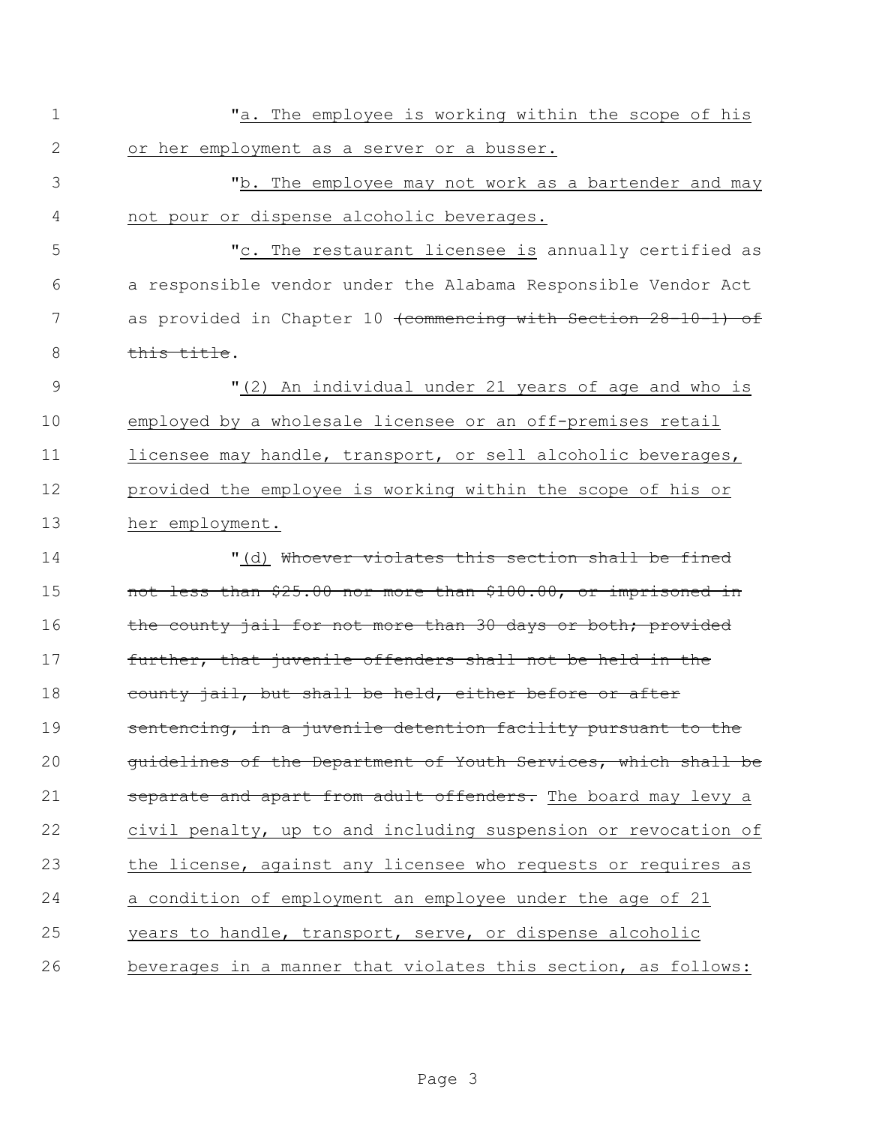| $\mathbf 1$    | "a. The employee is working within the scope of his                       |
|----------------|---------------------------------------------------------------------------|
| $\mathbf{2}$   | or her employment as a server or a busser.                                |
| 3              | "b. The employee may not work as a bartender and may                      |
| 4              | not pour or dispense alcoholic beverages.                                 |
| 5              | "c. The restaurant licensee is annually certified as                      |
| 6              | a responsible vendor under the Alabama Responsible Vendor Act             |
| 7              | as provided in Chapter 10 <del>(commencing with Section 28-10-1) of</del> |
| 8              | this title.                                                               |
| $\overline{9}$ | "(2) An individual under 21 years of age and who is                       |
| 10             | employed by a wholesale licensee or an off-premises retail                |
| 11             | licensee may handle, transport, or sell alcoholic beverages,              |
| 12             | provided the employee is working within the scope of his or               |
| 13             | her employment.                                                           |
| 14             | "(d) <del>Whoever violates this section shall be fined</del>              |
| 15             | not less than \$25.00 nor more than \$100.00, or imprisoned in            |
| 16             | the county jail for not more than 30 days or both; provided               |
| 17             | further, that juvenile offenders shall not be held in the                 |
| 18             | county jail, but shall be held, either before or after                    |
| 19             | sentencing, in a juvenile detention facility pursuant to the              |
| 20             | guidelines of the Department of Youth Services, which shall be            |
| 21             | separate and apart from adult offenders. The board may levy a             |
| 22             | civil penalty, up to and including suspension or revocation of            |
| 23             | the license, against any licensee who requests or requires as             |
| 24             | a condition of employment an employee under the age of 21                 |
| 25             | years to handle, transport, serve, or dispense alcoholic                  |
| 26             | beverages in a manner that violates this section, as follows:             |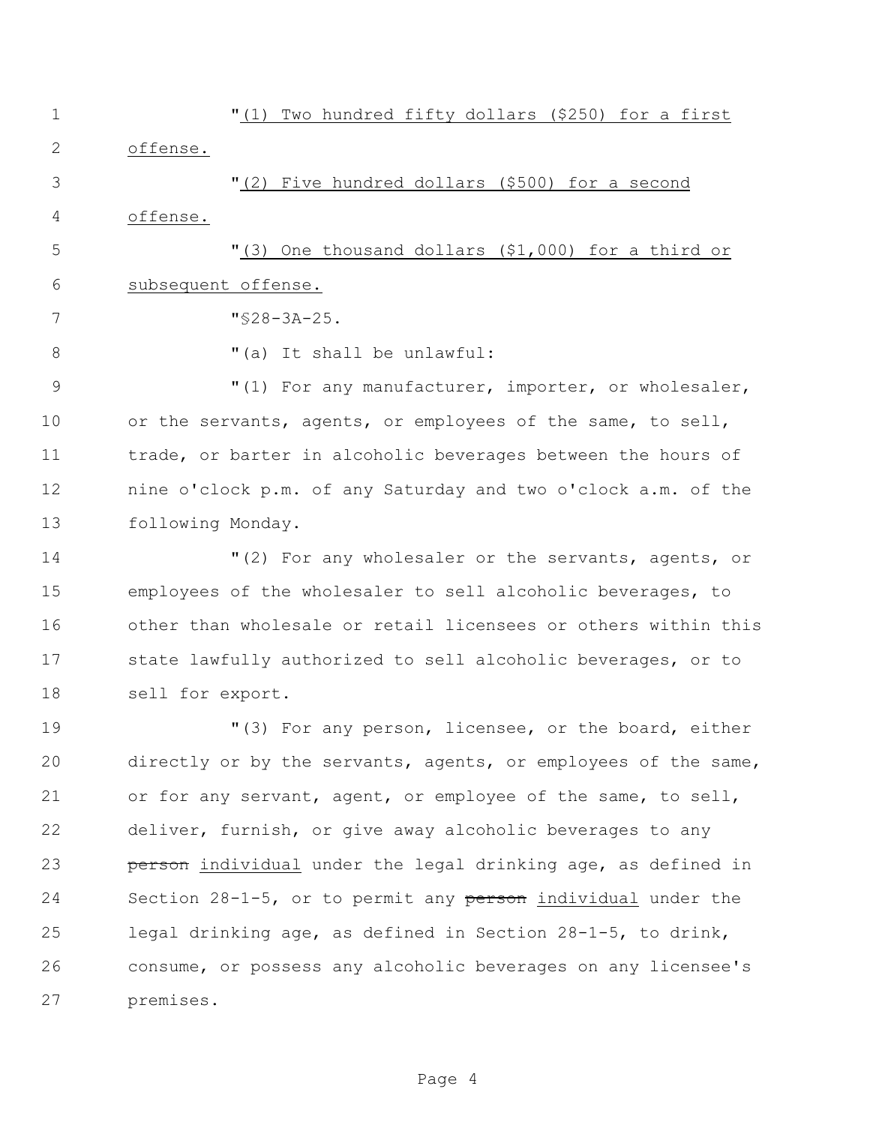"(1) Two hundred fifty dollars (\$250) for a first offense. "(2) Five hundred dollars (\$500) for a second offense. "(3) One thousand dollars (\$1,000) for a third or subsequent offense. "§28-3A-25.  $\blacksquare$  (a) It shall be unlawful: 9 The M<sub>(1</sub>) For any manufacturer, importer, or wholesaler, or the servants, agents, or employees of the same, to sell, trade, or barter in alcoholic beverages between the hours of nine o'clock p.m. of any Saturday and two o'clock a.m. of the following Monday. "(2) For any wholesaler or the servants, agents, or employees of the wholesaler to sell alcoholic beverages, to other than wholesale or retail licensees or others within this state lawfully authorized to sell alcoholic beverages, or to sell for export. "(3) For any person, licensee, or the board, either directly or by the servants, agents, or employees of the same, or for any servant, agent, or employee of the same, to sell, deliver, furnish, or give away alcoholic beverages to any

**person** individual under the legal drinking age, as defined in 24 Section 28-1-5, or to permit any person individual under the legal drinking age, as defined in Section 28-1-5, to drink, consume, or possess any alcoholic beverages on any licensee's premises.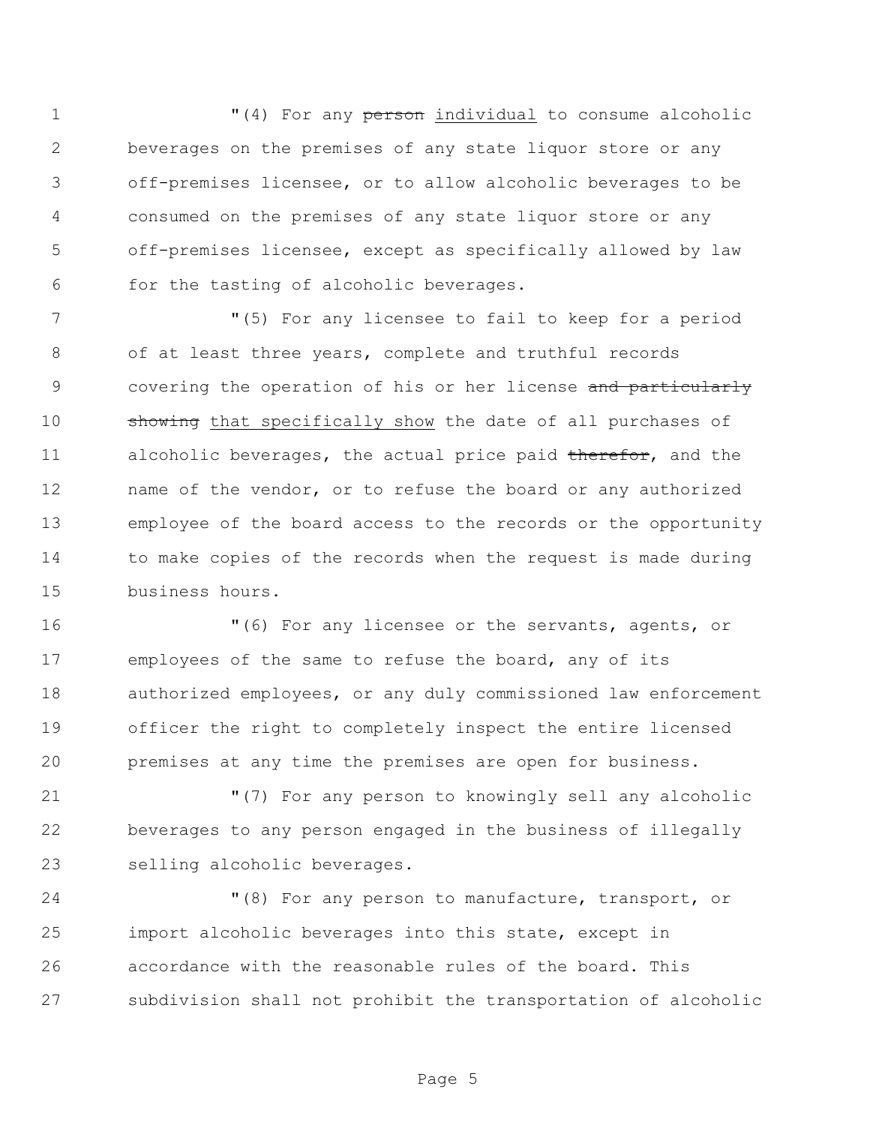$(4)$  For any person individual to consume alcoholic beverages on the premises of any state liquor store or any off-premises licensee, or to allow alcoholic beverages to be consumed on the premises of any state liquor store or any off-premises licensee, except as specifically allowed by law for the tasting of alcoholic beverages.

 "(5) For any licensee to fail to keep for a period of at least three years, complete and truthful records 9 covering the operation of his or her license and particularly 10 showing that specifically show the date of all purchases of 11 alcoholic beverages, the actual price paid therefor, and the name of the vendor, or to refuse the board or any authorized employee of the board access to the records or the opportunity to make copies of the records when the request is made during business hours.

 "(6) For any licensee or the servants, agents, or employees of the same to refuse the board, any of its authorized employees, or any duly commissioned law enforcement officer the right to completely inspect the entire licensed premises at any time the premises are open for business.

 "(7) For any person to knowingly sell any alcoholic beverages to any person engaged in the business of illegally selling alcoholic beverages.

 "(8) For any person to manufacture, transport, or import alcoholic beverages into this state, except in accordance with the reasonable rules of the board. This subdivision shall not prohibit the transportation of alcoholic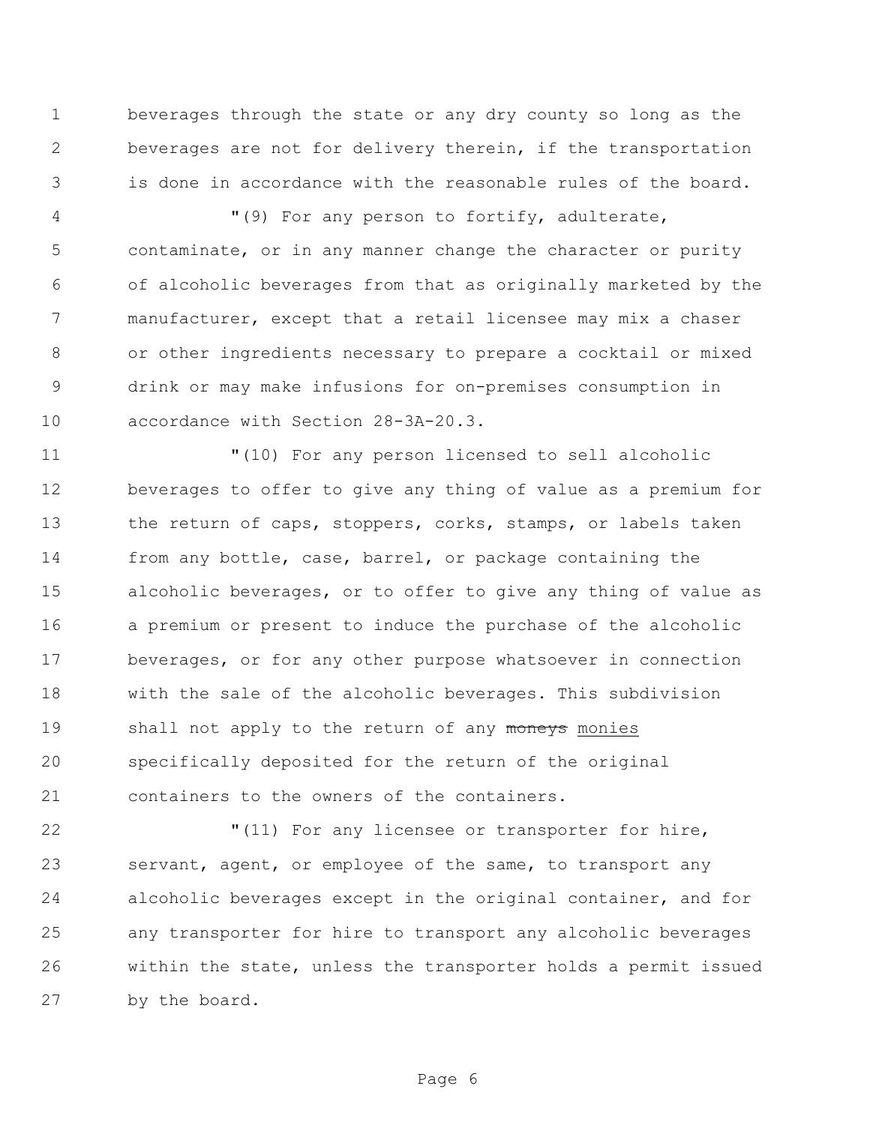beverages through the state or any dry county so long as the beverages are not for delivery therein, if the transportation is done in accordance with the reasonable rules of the board.

 "(9) For any person to fortify, adulterate, contaminate, or in any manner change the character or purity of alcoholic beverages from that as originally marketed by the manufacturer, except that a retail licensee may mix a chaser or other ingredients necessary to prepare a cocktail or mixed drink or may make infusions for on-premises consumption in accordance with Section 28-3A-20.3.

 "(10) For any person licensed to sell alcoholic beverages to offer to give any thing of value as a premium for 13 the return of caps, stoppers, corks, stamps, or labels taken from any bottle, case, barrel, or package containing the alcoholic beverages, or to offer to give any thing of value as a premium or present to induce the purchase of the alcoholic beverages, or for any other purpose whatsoever in connection with the sale of the alcoholic beverages. This subdivision 19 shall not apply to the return of any moneys monies specifically deposited for the return of the original containers to the owners of the containers.

 "(11) For any licensee or transporter for hire, servant, agent, or employee of the same, to transport any alcoholic beverages except in the original container, and for any transporter for hire to transport any alcoholic beverages within the state, unless the transporter holds a permit issued by the board.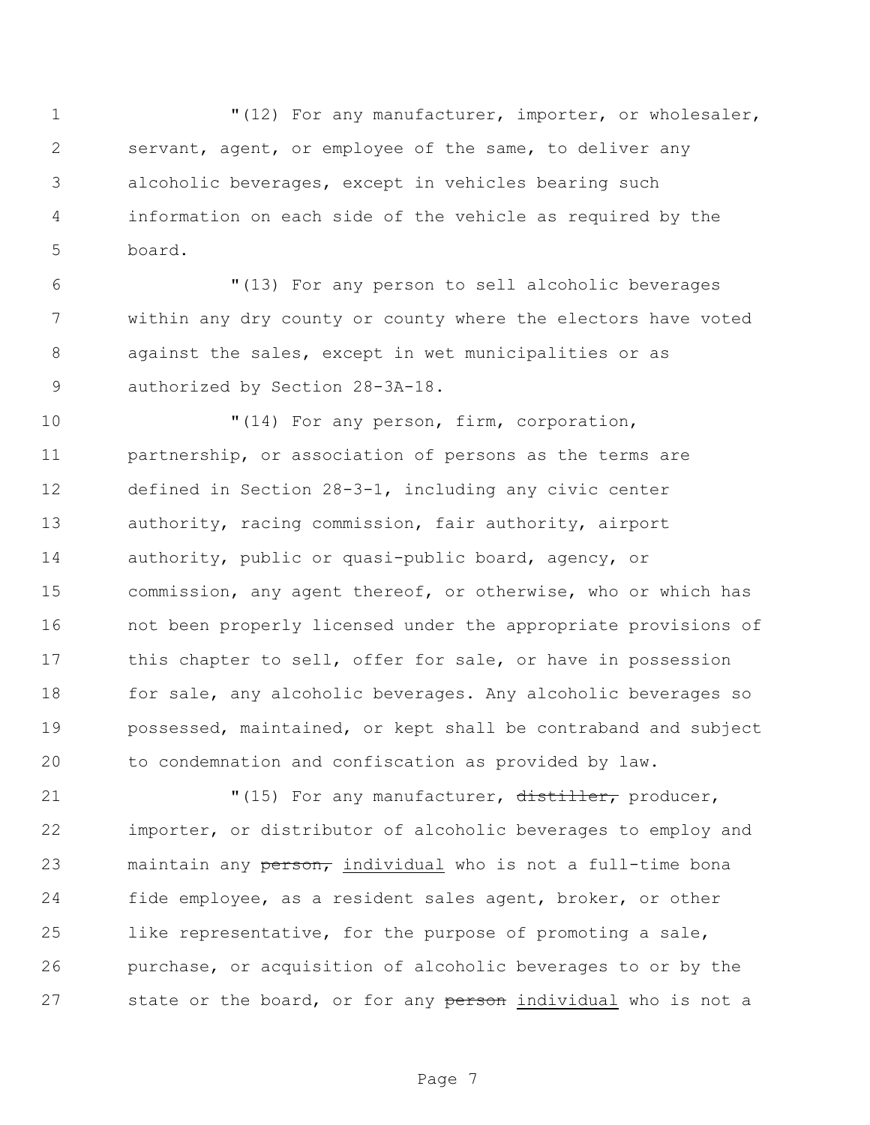1 "(12) For any manufacturer, importer, or wholesaler, servant, agent, or employee of the same, to deliver any alcoholic beverages, except in vehicles bearing such information on each side of the vehicle as required by the board.

 "(13) For any person to sell alcoholic beverages within any dry county or county where the electors have voted against the sales, except in wet municipalities or as authorized by Section 28-3A-18.

 $\blacksquare$  (14) For any person, firm, corporation, partnership, or association of persons as the terms are defined in Section 28-3-1, including any civic center authority, racing commission, fair authority, airport authority, public or quasi-public board, agency, or commission, any agent thereof, or otherwise, who or which has not been properly licensed under the appropriate provisions of 17 this chapter to sell, offer for sale, or have in possession 18 for sale, any alcoholic beverages. Any alcoholic beverages so possessed, maintained, or kept shall be contraband and subject to condemnation and confiscation as provided by law.

 $(15)$  For any manufacturer, distiller, producer, importer, or distributor of alcoholic beverages to employ and 23 maintain any person, individual who is not a full-time bona fide employee, as a resident sales agent, broker, or other like representative, for the purpose of promoting a sale, purchase, or acquisition of alcoholic beverages to or by the 27 state or the board, or for any person individual who is not a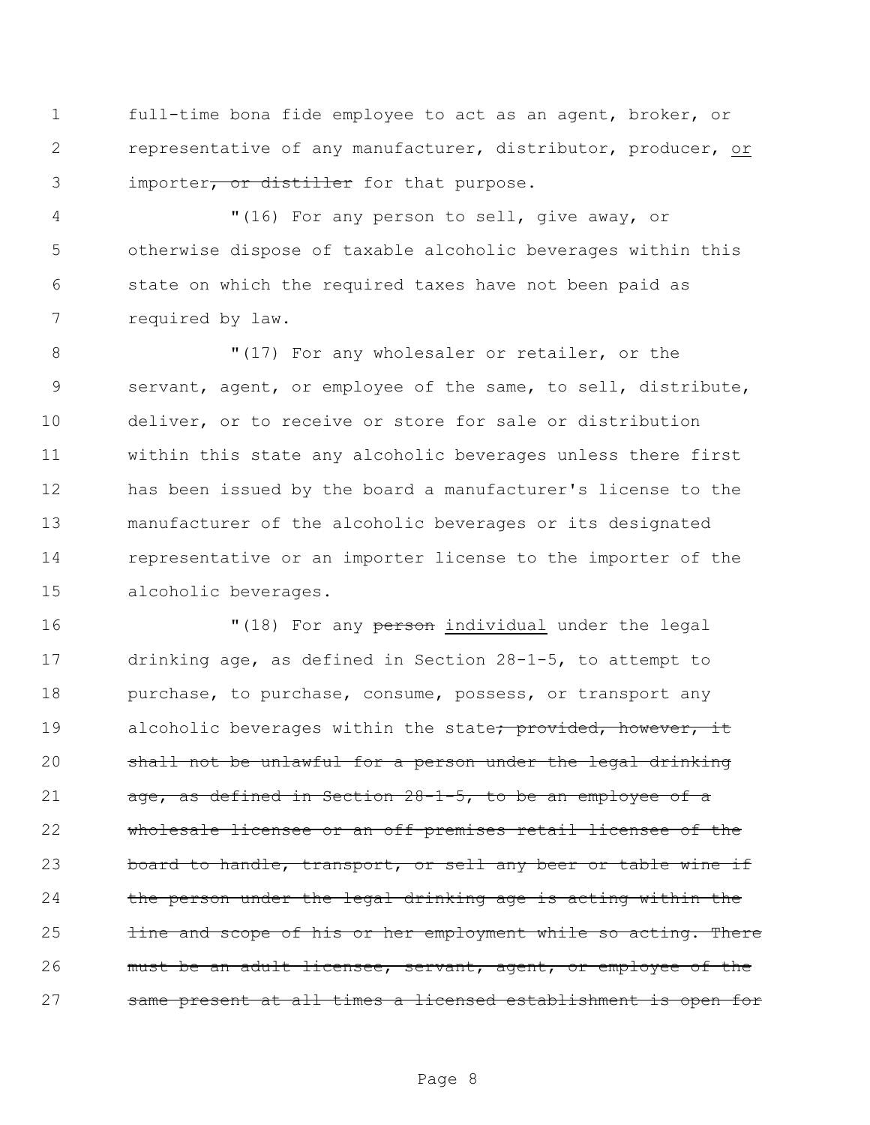full-time bona fide employee to act as an agent, broker, or representative of any manufacturer, distributor, producer, or 3 importer, or distiller for that purpose.

 "(16) For any person to sell, give away, or otherwise dispose of taxable alcoholic beverages within this state on which the required taxes have not been paid as required by law.

8 "(17) For any wholesaler or retailer, or the servant, agent, or employee of the same, to sell, distribute, deliver, or to receive or store for sale or distribution within this state any alcoholic beverages unless there first has been issued by the board a manufacturer's license to the manufacturer of the alcoholic beverages or its designated representative or an importer license to the importer of the alcoholic beverages.

16 "(18) For any person individual under the legal drinking age, as defined in Section 28-1-5, to attempt to 18 purchase, to purchase, consume, possess, or transport any 19 alcoholic beverages within the state<del>; provided, however, it</del> shall not be unlawful for a person under the legal drinking 21  $a$ ge, as defined in Section  $28-1-5$ , to be an employee of a wholesale licensee or an off-premises retail licensee of the 23 board to handle, transport, or sell any beer or table wine if 24 the person under the legal drinking age is acting within the **line and scope of his or her employment while so acting. There** 26 must be an adult licensee, servant, agent, or employee of the same present at all times a licensed establishment is open for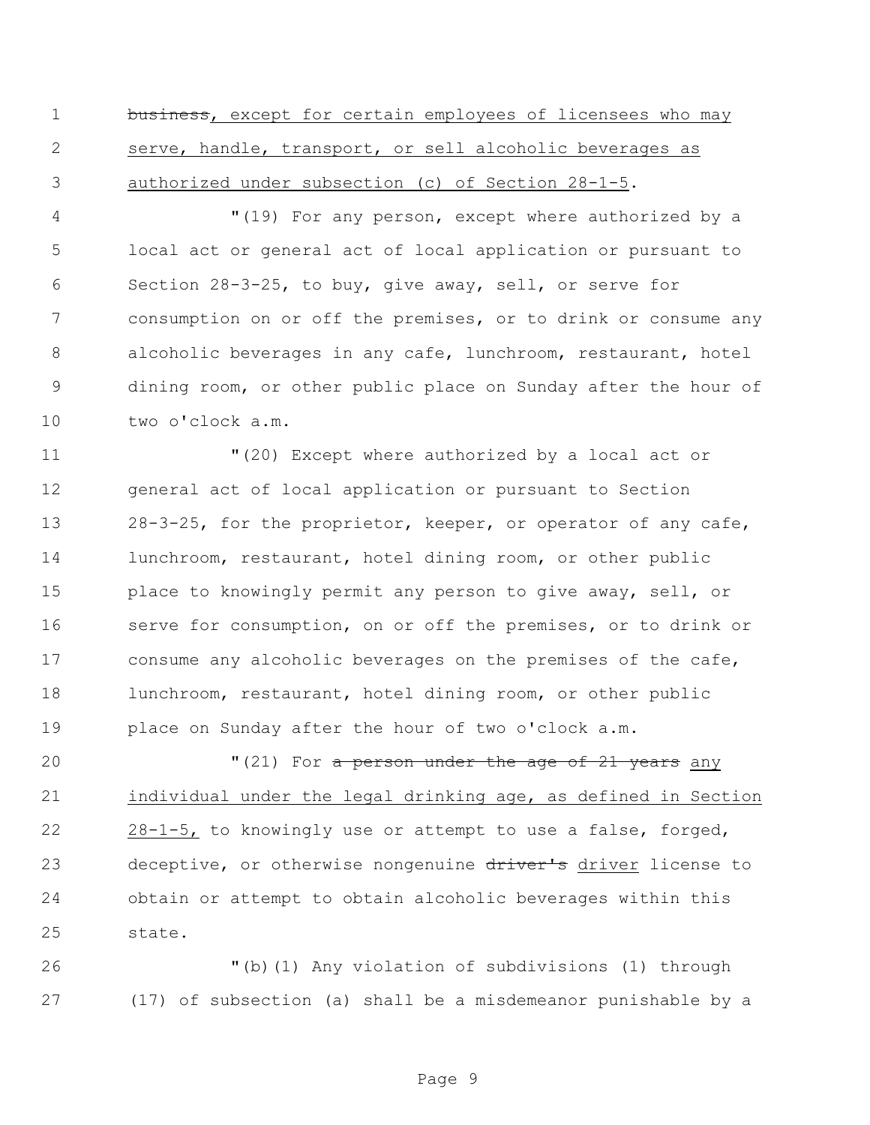1 business, except for certain employees of licensees who may serve, handle, transport, or sell alcoholic beverages as authorized under subsection (c) of Section 28-1-5.

 "(19) For any person, except where authorized by a local act or general act of local application or pursuant to Section 28-3-25, to buy, give away, sell, or serve for consumption on or off the premises, or to drink or consume any alcoholic beverages in any cafe, lunchroom, restaurant, hotel dining room, or other public place on Sunday after the hour of two o'clock a.m.

 "(20) Except where authorized by a local act or general act of local application or pursuant to Section 28-3-25, for the proprietor, keeper, or operator of any cafe, lunchroom, restaurant, hotel dining room, or other public 15 place to knowingly permit any person to give away, sell, or serve for consumption, on or off the premises, or to drink or consume any alcoholic beverages on the premises of the cafe, lunchroom, restaurant, hotel dining room, or other public place on Sunday after the hour of two o'clock a.m.

**"**(21) For a person under the age of 21 years any individual under the legal drinking age, as defined in Section 28-1-5, to knowingly use or attempt to use a false, forged, 23 deceptive, or otherwise nongenuine driver's driver license to obtain or attempt to obtain alcoholic beverages within this state.

 "(b)(1) Any violation of subdivisions (1) through (17) of subsection (a) shall be a misdemeanor punishable by a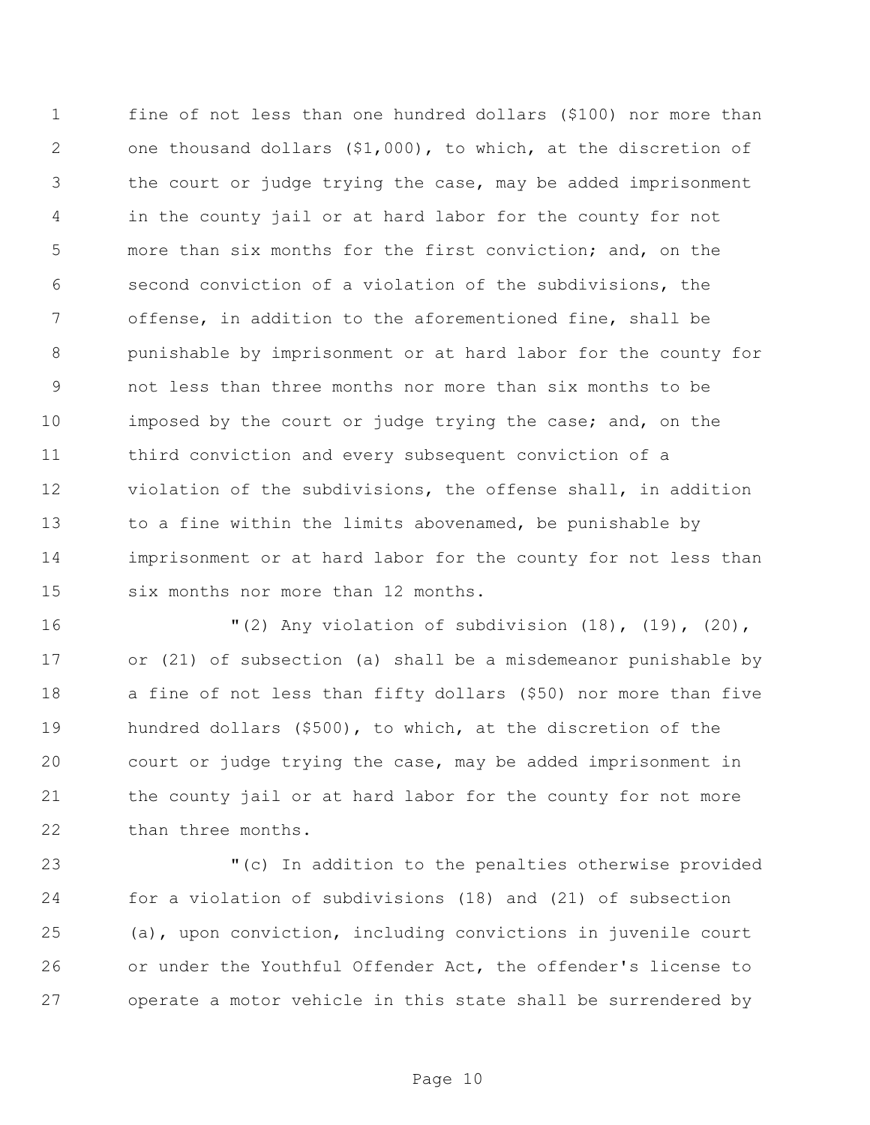fine of not less than one hundred dollars (\$100) nor more than one thousand dollars (\$1,000), to which, at the discretion of the court or judge trying the case, may be added imprisonment in the county jail or at hard labor for the county for not more than six months for the first conviction; and, on the second conviction of a violation of the subdivisions, the offense, in addition to the aforementioned fine, shall be punishable by imprisonment or at hard labor for the county for not less than three months nor more than six months to be 10 imposed by the court or judge trying the case; and, on the third conviction and every subsequent conviction of a violation of the subdivisions, the offense shall, in addition 13 to a fine within the limits abovenamed, be punishable by imprisonment or at hard labor for the county for not less than six months nor more than 12 months.

 "(2) Any violation of subdivision (18), (19), (20), or (21) of subsection (a) shall be a misdemeanor punishable by a fine of not less than fifty dollars (\$50) nor more than five hundred dollars (\$500), to which, at the discretion of the court or judge trying the case, may be added imprisonment in the county jail or at hard labor for the county for not more 22 than three months.

 "(c) In addition to the penalties otherwise provided for a violation of subdivisions (18) and (21) of subsection (a), upon conviction, including convictions in juvenile court or under the Youthful Offender Act, the offender's license to operate a motor vehicle in this state shall be surrendered by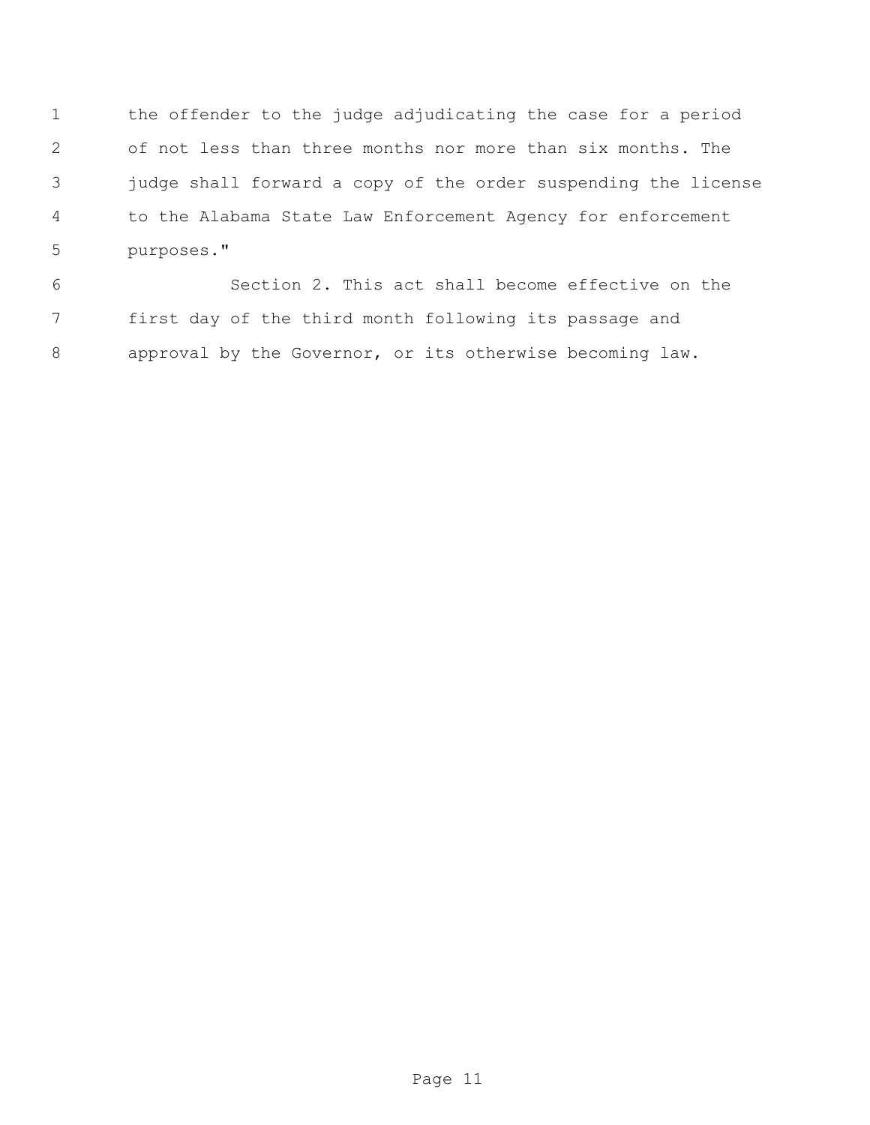the offender to the judge adjudicating the case for a period of not less than three months nor more than six months. The judge shall forward a copy of the order suspending the license to the Alabama State Law Enforcement Agency for enforcement purposes."

 Section 2. This act shall become effective on the first day of the third month following its passage and approval by the Governor, or its otherwise becoming law.